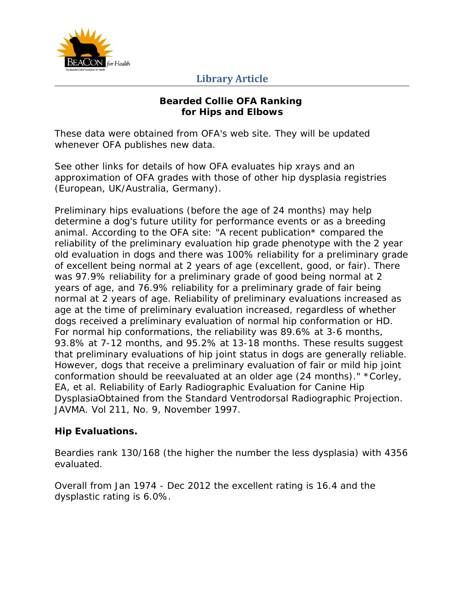

# **Library Article**

#### **Bearded Collie OFA Ranking for Hips and Elbows**

These data were obtained from OFA's web site. They will be updated whenever OFA publishes new data.

See other links for details of how OFA evaluates hip xrays and an approximation of OFA grades with those of other hip dysplasia registries (European, UK/Australia, Germany).

Preliminary hips evaluations (before the age of 24 months) may help determine a dog's future utility for performance events or as a breeding animal. According to the OFA site: "A recent publication\* compared the reliability of the preliminary evaluation hip grade phenotype with the 2 year old evaluation in dogs and there was 100% reliability for a preliminary grade of excellent being normal at 2 years of age (excellent, good, or fair). There was 97.9% reliability for a preliminary grade of good being normal at 2 years of age, and 76.9% reliability for a preliminary grade of fair being normal at 2 years of age. Reliability of preliminary evaluations increased as age at the time of preliminary evaluation increased, regardless of whether dogs received a preliminary evaluation of normal hip conformation or HD. For normal hip conformations, the reliability was 89.6% at 3-6 months, 93.8% at 7-12 months, and 95.2% at 13-18 months. These results suggest that preliminary evaluations of hip joint status in dogs are generally reliable. However, dogs that receive a preliminary evaluation of fair or mild hip joint conformation should be reevaluated at an older age (24 months)." \*Corley, EA, et al. *Reliability of Early Radiographic Evaluation for Canine Hip DysplasiaObtained from the Standard Ventrodorsal Radiographic Projection*. JAVMA. Vol 211, No. 9, November 1997.

## **Hip Evaluations.**

Beardies rank 130/168 (the higher the number the less dysplasia) with 4356 evaluated.

Overall from Jan 1974 - Dec 2012 the excellent rating is 16.4 and the dysplastic rating is 6.0%.